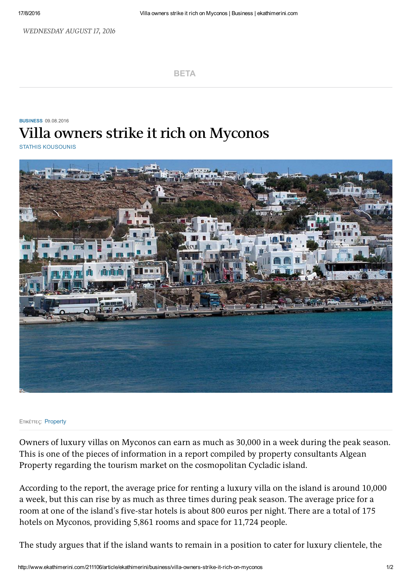WEDNESDAY AUGUST 17, 2016

[BETA](http://www.ekathimerini.com/)

## **[BUSINESS](http://www.ekathimerini.com/business) 09.08.2016 Villa owners strike it rich on Myconos**

STATHIS [KOUSOUNIS](http://www.ekathimerini.com/authors?id=261)



## Ετικέττες: [Property](http://www.ekathimerini.com/tags?t=Property)

Owners of luxury villas on Myconos can earn as much as 30,000 in a week during the peak season. This is one of the pieces of information in a report compiled by property consultants Algean Property regarding the tourism market on the cosmopolitan Cycladic island.

According to the report, the average price for renting a luxury villa on the island is around 10,000 a week, but this can rise by as much as three times during peak season. The average price for a room at one of the island's five-star hotels is about 800 euros per night. There are a total of 175 hotels on Myconos, providing 5,861 rooms and space for 11,724 people.

The study argues that if the island wants to remain in a position to cater for luxury clientele, the